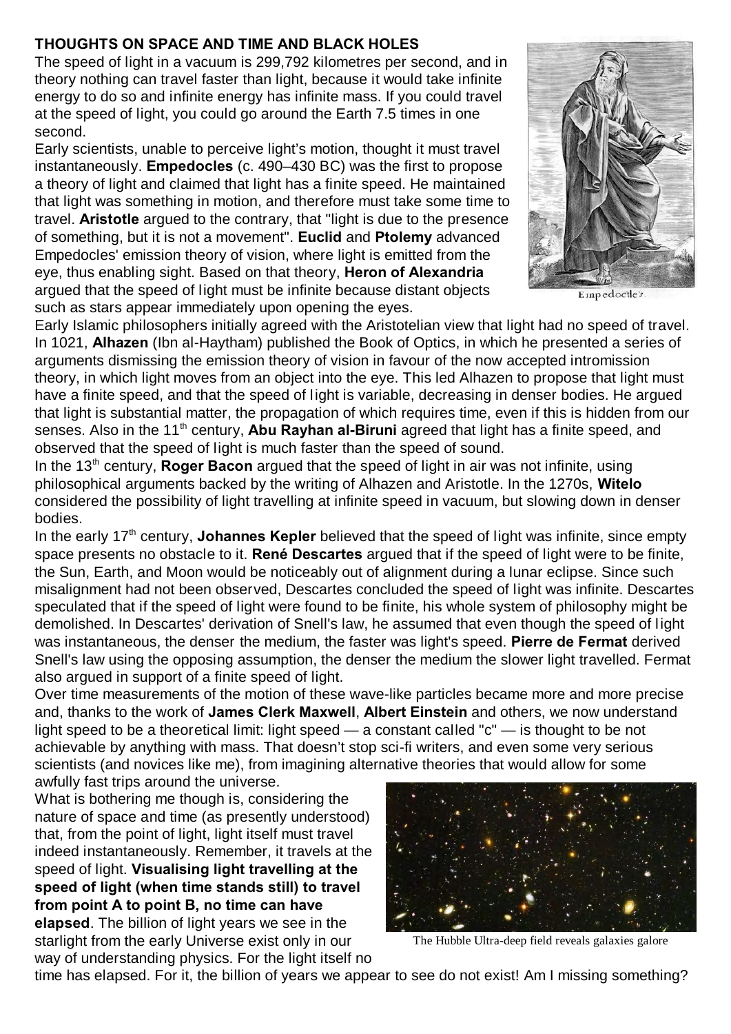## **THOUGHTS ON SPACE AND TIME AND BLACK HOLES**

The speed of light in a vacuum is 299,792 kilometres per second, and in theory nothing can travel faster than light, because it would take infinite energy to do so and infinite energy has infinite mass. If you could travel at the speed of light, you could go around the Earth 7.5 times in one second.

Early scientists, unable to perceive light's motion, thought it must travel instantaneously. **Empedocles** (c. 490–430 BC) was the first to propose a theory of light and claimed that light has a finite speed. He maintained that light was something in motion, and therefore must take some time to travel. **Aristotle** argued to the contrary, that "light is due to the presence of something, but it is not a movement". **Euclid** and **Ptolemy** advanced Empedocles' emission theory of vision, where light is emitted from the eye, thus enabling sight. Based on that theory, **Heron of Alexandria** argued that the speed of light must be infinite because distant objects such as stars appear immediately upon opening the eyes.



Empedoctle's

Early Islamic philosophers initially agreed with the Aristotelian view that light had no speed of travel. In 1021, **Alhazen** (Ibn al-Haytham) published the Book of Optics, in which he presented a series of arguments dismissing the emission theory of vision in favour of the now accepted intromission theory, in which light moves from an object into the eye. This led Alhazen to propose that light must have a finite speed, and that the speed of light is variable, decreasing in denser bodies. He argued that light is substantial matter, the propagation of which requires time, even if this is hidden from our senses. Also in the 11<sup>th</sup> century, **Abu Rayhan al-Biruni** agreed that light has a finite speed, and observed that the speed of light is much faster than the speed of sound.

In the 13<sup>th</sup> century, **Roger Bacon** argued that the speed of light in air was not infinite, using philosophical arguments backed by the writing of Alhazen and Aristotle. In the 1270s, **Witelo** considered the possibility of light travelling at infinite speed in vacuum, but slowing down in denser bodies.

In the early 17<sup>th</sup> century, **Johannes Kepler** believed that the speed of light was infinite, since empty space presents no obstacle to it. **René Descartes** argued that if the speed of light were to be finite, the Sun, Earth, and Moon would be noticeably out of alignment during a lunar eclipse. Since such misalignment had not been observed, Descartes concluded the speed of light was infinite. Descartes speculated that if the speed of light were found to be finite, his whole system of philosophy might be demolished. In Descartes' derivation of Snell's law, he assumed that even though the speed of light was instantaneous, the denser the medium, the faster was light's speed. **Pierre de Fermat** derived Snell's law using the opposing assumption, the denser the medium the slower light travelled. Fermat also argued in support of a finite speed of light.

Over time measurements of the motion of these wave-like particles became more and more precise and, thanks to the work of **James Clerk Maxwell**, **Albert Einstein** and others, we now understand light speed to be a theoretical limit: light speed — a constant called "c" — is thought to be not achievable by anything with mass. That doesn't stop sci-fi writers, and even some very serious scientists (and novices like me), from imagining alternative theories that would allow for some awfully fast trips around the universe.

What is bothering me though is, considering the nature of space and time (as presently understood) that, from the point of light, light itself must travel indeed instantaneously. Remember, it travels at the speed of light. **Visualising light travelling at the speed of light (when time stands still) to travel from point A to point B, no time can have elapsed**. The billion of light years we see in the starlight from the early Universe exist only in our way of understanding physics. For the light itself no



The Hubble Ultra-deep field reveals galaxies galore

time has elapsed. For it, the billion of years we appear to see do not exist! Am I missing something?